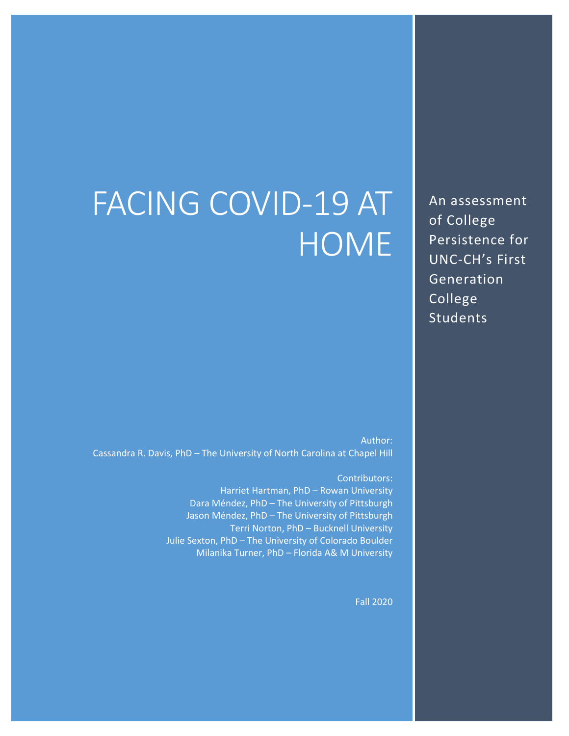# FACING COVID-19 AT **HOME**

An assessment of College Persistence for UNC-CH's First Generation College Students

Author: Cassandra R. Davis, PhD – The University of North Carolina at Chapel Hill

> Contributors: Harriet Hartman, PhD – Rowan University Dara Méndez, PhD – The University of Pittsburgh Jason Méndez, PhD – The University of Pittsburgh Terri Norton, PhD – Bucknell University Julie Sexton, PhD – The University of Colorado Boulder Milanika Turner, PhD – Florida A& M University

> > Fall 2020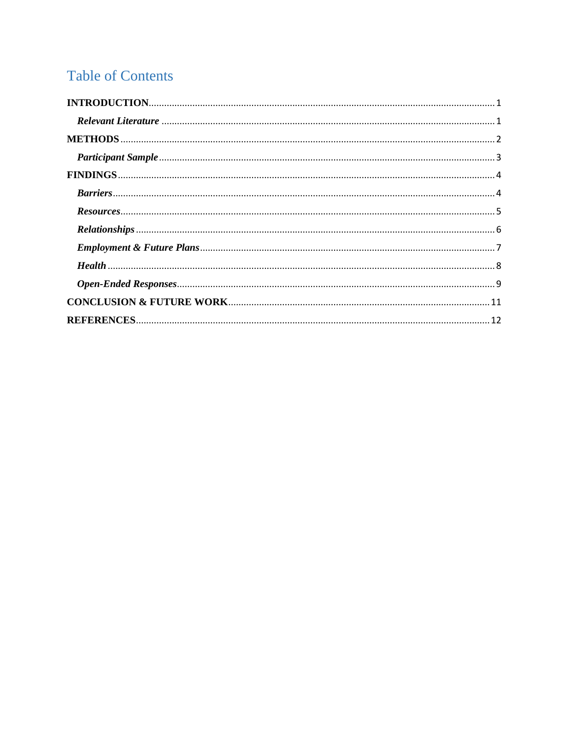# **Table of Contents**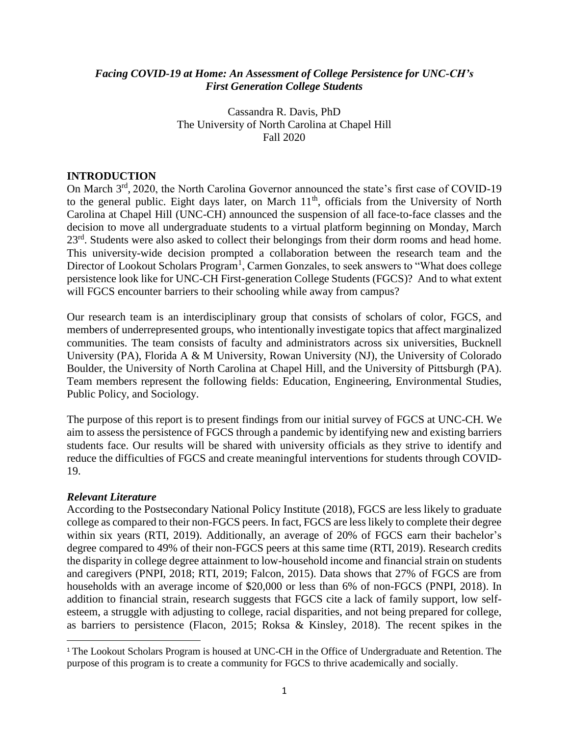# *Facing COVID-19 at Home: An Assessment of College Persistence for UNC-CH's First Generation College Students*

Cassandra R. Davis, PhD The University of North Carolina at Chapel Hill Fall 2020

# <span id="page-2-0"></span>**INTRODUCTION**

On March 3<sup>rd</sup>, 2020, the North Carolina Governor announced the state's first case of COVID-19 to the general public. Eight days later, on March 11<sup>th</sup>, officials from the University of North Carolina at Chapel Hill (UNC-CH) announced the suspension of all face-to-face classes and the decision to move all undergraduate students to a virtual platform beginning on Monday, March 23<sup>rd</sup>. Students were also asked to collect their belongings from their dorm rooms and head home. This university-wide decision prompted a collaboration between the research team and the Director of Lookout Scholars Program<sup>1</sup>, Carmen Gonzales, to seek answers to "What does college persistence look like for UNC-CH First-generation College Students (FGCS)? And to what extent will FGCS encounter barriers to their schooling while away from campus?

Our research team is an interdisciplinary group that consists of scholars of color, FGCS, and members of underrepresented groups, who intentionally investigate topics that affect marginalized communities. The team consists of faculty and administrators across six universities, Bucknell University (PA), Florida A & M University, Rowan University (NJ), the University of Colorado Boulder, the University of North Carolina at Chapel Hill, and the University of Pittsburgh (PA). Team members represent the following fields: Education, Engineering, Environmental Studies, Public Policy, and Sociology.

The purpose of this report is to present findings from our initial survey of FGCS at UNC-CH. We aim to assess the persistence of FGCS through a pandemic by identifying new and existing barriers students face. Our results will be shared with university officials as they strive to identify and reduce the difficulties of FGCS and create meaningful interventions for students through COVID-19.

# <span id="page-2-1"></span>*Relevant Literature*

 $\overline{\phantom{a}}$ 

According to the Postsecondary National Policy Institute (2018), FGCS are less likely to graduate college as compared to their non-FGCS peers. In fact, FGCS are less likely to complete their degree within six years (RTI, 2019). Additionally, an average of 20% of FGCS earn their bachelor's degree compared to 49% of their non-FGCS peers at this same time (RTI, 2019). Research credits the disparity in college degree attainment to low-household income and financial strain on students and caregivers (PNPI, 2018; RTI, 2019; Falcon, 2015). Data shows that 27% of FGCS are from households with an average income of \$20,000 or less than 6% of non-FGCS (PNPI, 2018). In addition to financial strain, research suggests that FGCS cite a lack of family support, low selfesteem, a struggle with adjusting to college, racial disparities, and not being prepared for college, as barriers to persistence (Flacon, 2015; Roksa & Kinsley, 2018). The recent spikes in the

<sup>&</sup>lt;sup>1</sup> The Lookout Scholars Program is housed at UNC-CH in the Office of Undergraduate and Retention. The purpose of this program is to create a community for FGCS to thrive academically and socially.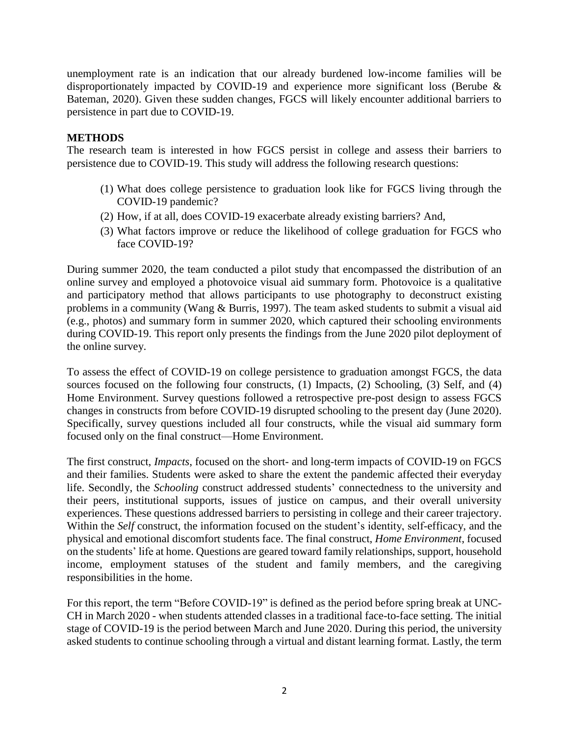unemployment rate is an indication that our already burdened low-income families will be disproportionately impacted by COVID-19 and experience more significant loss (Berube & Bateman, 2020). Given these sudden changes, FGCS will likely encounter additional barriers to persistence in part due to COVID-19.

# <span id="page-3-0"></span>**METHODS**

The research team is interested in how FGCS persist in college and assess their barriers to persistence due to COVID-19. This study will address the following research questions:

- (1) What does college persistence to graduation look like for FGCS living through the COVID-19 pandemic?
- (2) How, if at all, does COVID-19 exacerbate already existing barriers? And,
- (3) What factors improve or reduce the likelihood of college graduation for FGCS who face COVID-19?

During summer 2020, the team conducted a pilot study that encompassed the distribution of an online survey and employed a photovoice visual aid summary form. Photovoice is a qualitative and participatory method that allows participants to use photography to deconstruct existing problems in a community (Wang & Burris, 1997). The team asked students to submit a visual aid (e.g., photos) and summary form in summer 2020, which captured their schooling environments during COVID-19. This report only presents the findings from the June 2020 pilot deployment of the online survey.

To assess the effect of COVID-19 on college persistence to graduation amongst FGCS, the data sources focused on the following four constructs, (1) Impacts, (2) Schooling, (3) Self, and (4) Home Environment. Survey questions followed a retrospective pre-post design to assess FGCS changes in constructs from before COVID-19 disrupted schooling to the present day (June 2020). Specifically, survey questions included all four constructs, while the visual aid summary form focused only on the final construct—Home Environment.

The first construct, *Impacts*, focused on the short- and long-term impacts of COVID-19 on FGCS and their families. Students were asked to share the extent the pandemic affected their everyday life. Secondly, the *Schooling* construct addressed students' connectedness to the university and their peers, institutional supports, issues of justice on campus, and their overall university experiences. These questions addressed barriers to persisting in college and their career trajectory. Within the *Self* construct, the information focused on the student's identity, self-efficacy, and the physical and emotional discomfort students face. The final construct, *Home Environment*, focused on the students' life at home. Questions are geared toward family relationships, support, household income, employment statuses of the student and family members, and the caregiving responsibilities in the home.

For this report, the term "Before COVID-19" is defined as the period before spring break at UNC-CH in March 2020 - when students attended classes in a traditional face-to-face setting. The initial stage of COVID-19 is the period between March and June 2020. During this period, the university asked students to continue schooling through a virtual and distant learning format. Lastly, the term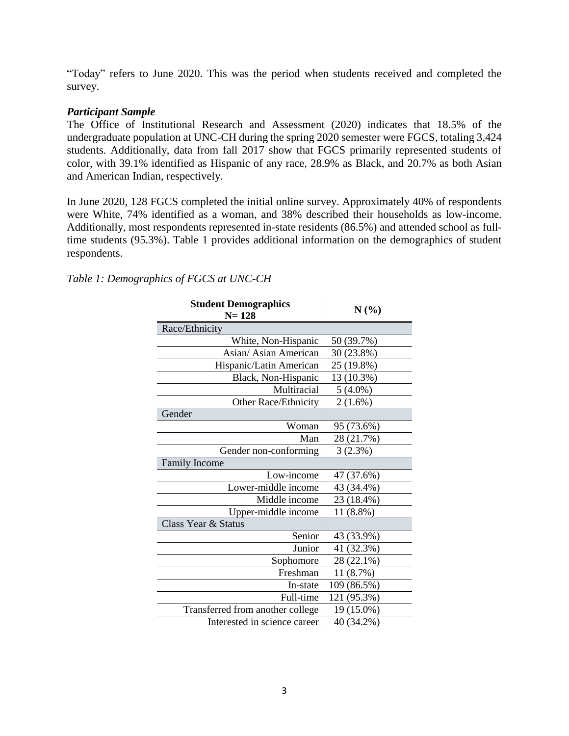"Today" refers to June 2020. This was the period when students received and completed the survey.

# <span id="page-4-0"></span>*Participant Sample*

The Office of Institutional Research and Assessment (2020) indicates that 18.5% of the undergraduate population at UNC-CH during the spring 2020 semester were FGCS, totaling 3,424 students. Additionally, data from fall 2017 show that FGCS primarily represented students of color, with 39.1% identified as Hispanic of any race, 28.9% as Black, and 20.7% as both Asian and American Indian, respectively.

In June 2020, 128 FGCS completed the initial online survey. Approximately 40% of respondents were White, 74% identified as a woman, and 38% described their households as low-income. Additionally, most respondents represented in-state residents (86.5%) and attended school as fulltime students (95.3%). Table 1 provides additional information on the demographics of student respondents.

# *Table 1: Demographics of FGCS at UNC-CH*

<span id="page-4-1"></span>

| <b>Student Demographics</b><br>$N = 128$ | $N(\%)$     |
|------------------------------------------|-------------|
| Race/Ethnicity                           |             |
| White, Non-Hispanic                      | 50 (39.7%)  |
| Asian/Asian American                     | 30 (23.8%)  |
| Hispanic/Latin American                  | 25 (19.8%)  |
| Black, Non-Hispanic                      | 13 (10.3%)  |
| Multiracial                              | $5(4.0\%)$  |
| Other Race/Ethnicity                     | $2(1.6\%)$  |
| Gender                                   |             |
| Woman                                    | 95 (73.6%)  |
| Man                                      | 28 (21.7%)  |
| Gender non-conforming                    | 3(2.3%)     |
| <b>Family Income</b>                     |             |
| Low-income                               | 47 (37.6%)  |
| Lower-middle income                      | 43 (34.4%)  |
| Middle income                            | 23 (18.4%)  |
| Upper-middle income                      | 11 (8.8%)   |
| Class Year & Status                      |             |
| Senior                                   | 43 (33.9%)  |
| Junior                                   | 41 (32.3%)  |
| Sophomore                                | 28 (22.1%)  |
| Freshman                                 | 11(8.7%)    |
| In-state                                 | 109 (86.5%) |
| Full-time                                | 121 (95.3%) |
| Transferred from another college         | 19 (15.0%)  |
| Interested in science career             | 40 (34.2%)  |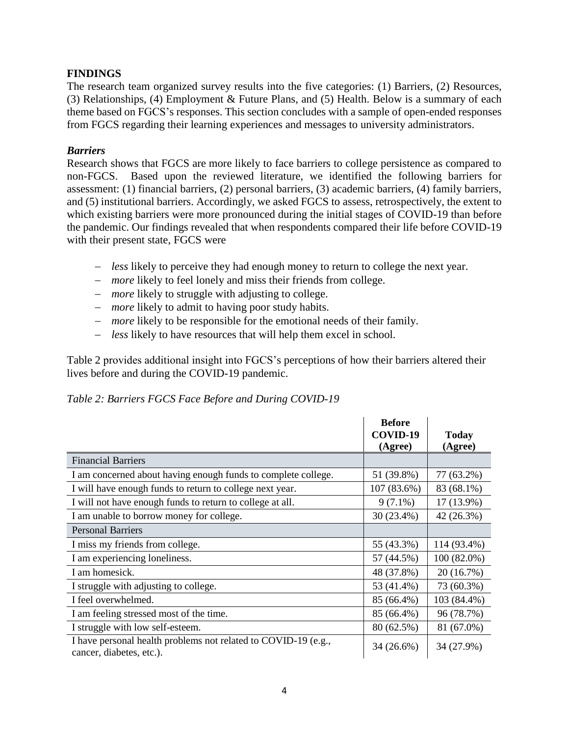# **FINDINGS**

The research team organized survey results into the five categories: (1) Barriers, (2) Resources, (3) Relationships, (4) Employment & Future Plans, and (5) Health. Below is a summary of each theme based on FGCS's responses. This section concludes with a sample of open-ended responses from FGCS regarding their learning experiences and messages to university administrators.

# <span id="page-5-0"></span>*Barriers*

Research shows that FGCS are more likely to face barriers to college persistence as compared to non-FGCS. Based upon the reviewed literature, we identified the following barriers for assessment: (1) financial barriers, (2) personal barriers, (3) academic barriers, (4) family barriers, and (5) institutional barriers. Accordingly, we asked FGCS to assess, retrospectively, the extent to which existing barriers were more pronounced during the initial stages of COVID-19 than before the pandemic. Our findings revealed that when respondents compared their life before COVID-19 with their present state, FGCS were

- *less* likely to perceive they had enough money to return to college the next year.
- *more* likely to feel lonely and miss their friends from college.
- *more* likely to struggle with adjusting to college.
- *more* likely to admit to having poor study habits.
- *more* likely to be responsible for the emotional needs of their family.
- *less* likely to have resources that will help them excel in school.

Table 2 provides additional insight into FGCS's perceptions of how their barriers altered their lives before and during the COVID-19 pandemic.

# *Table 2: Barriers FGCS Face Before and During COVID-19*

|                                                                                            | <b>Before</b><br>COVID-19<br>(Agree) | <b>Today</b><br>(Agree) |
|--------------------------------------------------------------------------------------------|--------------------------------------|-------------------------|
| <b>Financial Barriers</b>                                                                  |                                      |                         |
| I am concerned about having enough funds to complete college.                              | 51 (39.8%)                           | 77 (63.2%)              |
| I will have enough funds to return to college next year.                                   | 107 (83.6%)                          | 83 (68.1%)              |
| I will not have enough funds to return to college at all.                                  | $9(7.1\%)$                           | 17 (13.9%)              |
| I am unable to borrow money for college.                                                   | 30 (23.4%)                           | 42 (26.3%)              |
| <b>Personal Barriers</b>                                                                   |                                      |                         |
| I miss my friends from college.                                                            | 55 (43.3%)                           | 114 (93.4%)             |
| I am experiencing loneliness.                                                              | 57 (44.5%)                           | $100(82.0\%)$           |
| I am homesick.                                                                             | 48 (37.8%)                           | 20 (16.7%)              |
| I struggle with adjusting to college.                                                      | 53 (41.4%)                           | 73 (60.3%)              |
| I feel overwhelmed.                                                                        | 85 (66.4%)                           | 103 (84.4%)             |
| I am feeling stressed most of the time.                                                    | 85 (66.4%)                           | 96 (78.7%)              |
| I struggle with low self-esteem.                                                           | 80 (62.5%)                           | 81 (67.0%)              |
| I have personal health problems not related to COVID-19 (e.g.,<br>cancer, diabetes, etc.). | 34 (26.6%)                           | 34 (27.9%)              |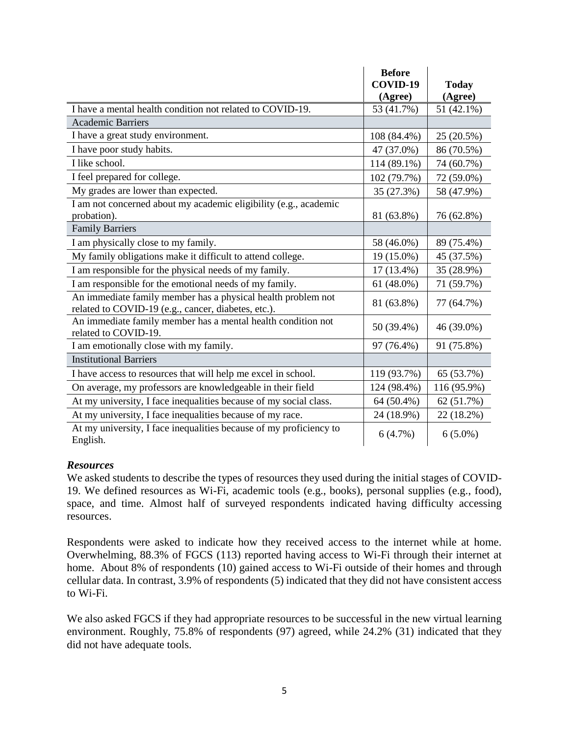|                                                                                                                     | <b>Before</b>       |                         |
|---------------------------------------------------------------------------------------------------------------------|---------------------|-------------------------|
|                                                                                                                     | COVID-19<br>(Agree) | <b>Today</b><br>(Agree) |
| I have a mental health condition not related to COVID-19.                                                           | 53 (41.7%)          | 51 (42.1%)              |
| <b>Academic Barriers</b>                                                                                            |                     |                         |
| I have a great study environment.                                                                                   | 108 (84.4%)         | 25 (20.5%)              |
| I have poor study habits.                                                                                           | 47 (37.0%)          | 86 (70.5%)              |
| I like school.                                                                                                      | 114 (89.1%)         | 74 (60.7%)              |
| I feel prepared for college.                                                                                        | 102 (79.7%)         | 72 (59.0%)              |
| My grades are lower than expected.                                                                                  | 35 (27.3%)          | 58 (47.9%)              |
| I am not concerned about my academic eligibility (e.g., academic                                                    |                     |                         |
| probation).<br><b>Family Barriers</b>                                                                               | 81 (63.8%)          | 76 (62.8%)              |
| I am physically close to my family.                                                                                 | 58 (46.0%)          | 89 (75.4%)              |
| My family obligations make it difficult to attend college.                                                          | 19 (15.0%)          | 45 (37.5%)              |
|                                                                                                                     |                     |                         |
| I am responsible for the physical needs of my family.                                                               | 17 (13.4%)          | 35 (28.9%)              |
| I am responsible for the emotional needs of my family.                                                              | 61 (48.0%)          | 71 (59.7%)              |
| An immediate family member has a physical health problem not<br>related to COVID-19 (e.g., cancer, diabetes, etc.). | 81 (63.8%)          | 77 (64.7%)              |
| An immediate family member has a mental health condition not<br>related to COVID-19.                                | 50 (39.4%)          | 46 (39.0%)              |
| I am emotionally close with my family.                                                                              | 97 (76.4%)          | 91 (75.8%)              |
| <b>Institutional Barriers</b>                                                                                       |                     |                         |
| I have access to resources that will help me excel in school.                                                       | 119 (93.7%)         | 65 (53.7%)              |
| On average, my professors are knowledgeable in their field                                                          | 124 (98.4%)         | 116 (95.9%)             |
| At my university, I face inequalities because of my social class.                                                   | 64 (50.4%)          | 62 (51.7%)              |
| At my university, I face inequalities because of my race.                                                           | 24 (18.9%)          | 22 (18.2%)              |
| At my university, I face inequalities because of my proficiency to<br>English.                                      | 6(4.7%)             | $6(5.0\%)$              |

# <span id="page-6-0"></span>*Resources*

We asked students to describe the types of resources they used during the initial stages of COVID-19. We defined resources as Wi-Fi, academic tools (e.g., books), personal supplies (e.g., food), space, and time. Almost half of surveyed respondents indicated having difficulty accessing resources.

Respondents were asked to indicate how they received access to the internet while at home. Overwhelming, 88.3% of FGCS (113) reported having access to Wi-Fi through their internet at home. About 8% of respondents (10) gained access to Wi-Fi outside of their homes and through cellular data. In contrast, 3.9% of respondents (5) indicated that they did not have consistent access to Wi-Fi.

We also asked FGCS if they had appropriate resources to be successful in the new virtual learning environment. Roughly, 75.8% of respondents (97) agreed, while 24.2% (31) indicated that they did not have adequate tools.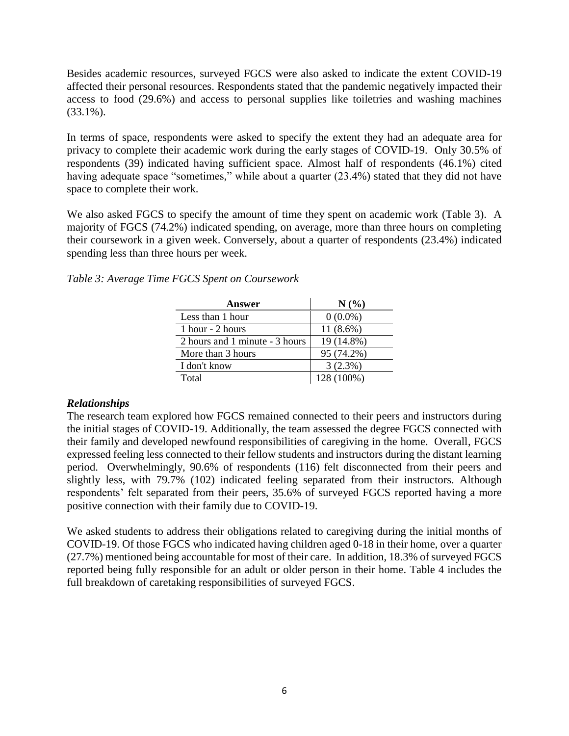Besides academic resources, surveyed FGCS were also asked to indicate the extent COVID-19 affected their personal resources. Respondents stated that the pandemic negatively impacted their access to food (29.6%) and access to personal supplies like toiletries and washing machines (33.1%).

In terms of space, respondents were asked to specify the extent they had an adequate area for privacy to complete their academic work during the early stages of COVID-19. Only 30.5% of respondents (39) indicated having sufficient space. Almost half of respondents (46.1%) cited having adequate space "sometimes," while about a quarter (23.4%) stated that they did not have space to complete their work.

We also asked FGCS to specify the amount of time they spent on academic work (Table 3). A majority of FGCS (74.2%) indicated spending, on average, more than three hours on completing their coursework in a given week. Conversely, about a quarter of respondents (23.4%) indicated spending less than three hours per week.

| Answer                         | N(%         |
|--------------------------------|-------------|
| Less than 1 hour               | $0(0.0\%)$  |
| 1 hour - 2 hours               | $11(8.6\%)$ |
| 2 hours and 1 minute - 3 hours | 19 (14.8%)  |
| More than 3 hours              | 95 (74.2%)  |
| I don't know                   | 3(2.3%)     |
| Total                          | 128 (100%)  |

# <span id="page-7-0"></span>*Relationships*

The research team explored how FGCS remained connected to their peers and instructors during the initial stages of COVID-19. Additionally, the team assessed the degree FGCS connected with their family and developed newfound responsibilities of caregiving in the home. Overall, FGCS expressed feeling less connected to their fellow students and instructors during the distant learning period. Overwhelmingly, 90.6% of respondents (116) felt disconnected from their peers and slightly less, with 79.7% (102) indicated feeling separated from their instructors. Although respondents' felt separated from their peers, 35.6% of surveyed FGCS reported having a more positive connection with their family due to COVID-19.

We asked students to address their obligations related to caregiving during the initial months of COVID-19. Of those FGCS who indicated having children aged 0-18 in their home, over a quarter (27.7%) mentioned being accountable for most of their care. In addition, 18.3% of surveyed FGCS reported being fully responsible for an adult or older person in their home. Table 4 includes the full breakdown of caretaking responsibilities of surveyed FGCS.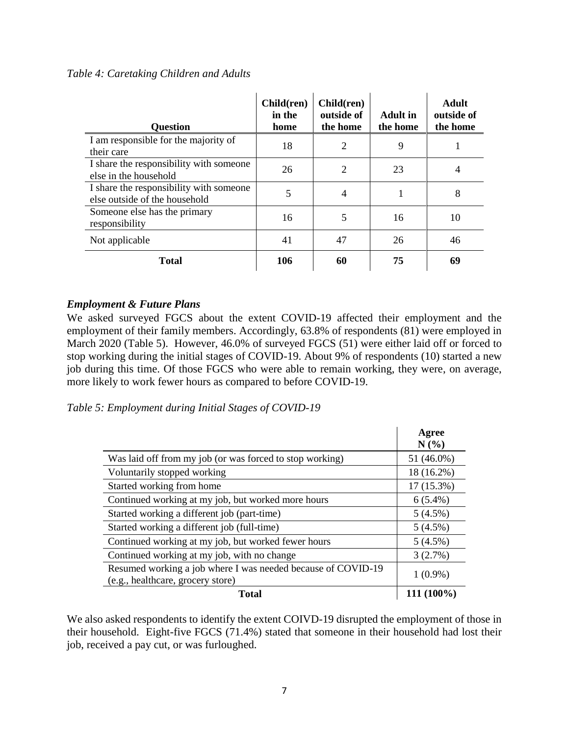# *Table 4: Caretaking Children and Adults*

| <b>Question</b>                                                          | Child(ren)<br>in the<br>home | Child(ren)<br>outside of<br>the home | <b>Adult</b> in<br>the home | <b>Adult</b><br>outside of<br>the home |
|--------------------------------------------------------------------------|------------------------------|--------------------------------------|-----------------------------|----------------------------------------|
| I am responsible for the majority of<br>their care                       | 18                           | $\overline{2}$                       | 9                           |                                        |
| I share the responsibility with someone<br>else in the household         | 26                           | $\overline{2}$                       | 23                          | $\overline{4}$                         |
| I share the responsibility with someone<br>else outside of the household | 5                            | $\overline{4}$                       |                             | 8                                      |
| Someone else has the primary<br>responsibility                           | 16                           | 5                                    | 16                          | 10                                     |
| Not applicable                                                           | 41                           | 47                                   | 26                          | 46                                     |
| <b>Total</b>                                                             | 106                          | 60                                   | 75                          | 69                                     |

# <span id="page-8-0"></span>*Employment & Future Plans*

We asked surveyed FGCS about the extent COVID-19 affected their employment and the employment of their family members. Accordingly, 63.8% of respondents (81) were employed in March 2020 (Table 5). However, 46.0% of surveyed FGCS (51) were either laid off or forced to stop working during the initial stages of COVID-19. About 9% of respondents (10) started a new job during this time. Of those FGCS who were able to remain working, they were, on average, more likely to work fewer hours as compared to before COVID-19.

*Table 5: Employment during Initial Stages of COVID-19*

|                                                                                                   | Agree<br>$N(\%)$ |
|---------------------------------------------------------------------------------------------------|------------------|
| Was laid off from my job (or was forced to stop working)                                          | 51 (46.0%)       |
| Voluntarily stopped working                                                                       | 18 (16.2%)       |
| Started working from home                                                                         | $17(15.3\%)$     |
| Continued working at my job, but worked more hours                                                | $6(5.4\%)$       |
| Started working a different job (part-time)                                                       | 5(4.5%)          |
| Started working a different job (full-time)                                                       | $5(4.5\%)$       |
| Continued working at my job, but worked fewer hours                                               | 5(4.5%)          |
| Continued working at my job, with no change                                                       | 3(2.7%)          |
| Resumed working a job where I was needed because of COVID-19<br>(e.g., healthcare, grocery store) | $1(0.9\%)$       |
| Total                                                                                             | 111 (100%)       |

We also asked respondents to identify the extent COIVD-19 disrupted the employment of those in their household. Eight-five FGCS (71.4%) stated that someone in their household had lost their job, received a pay cut, or was furloughed.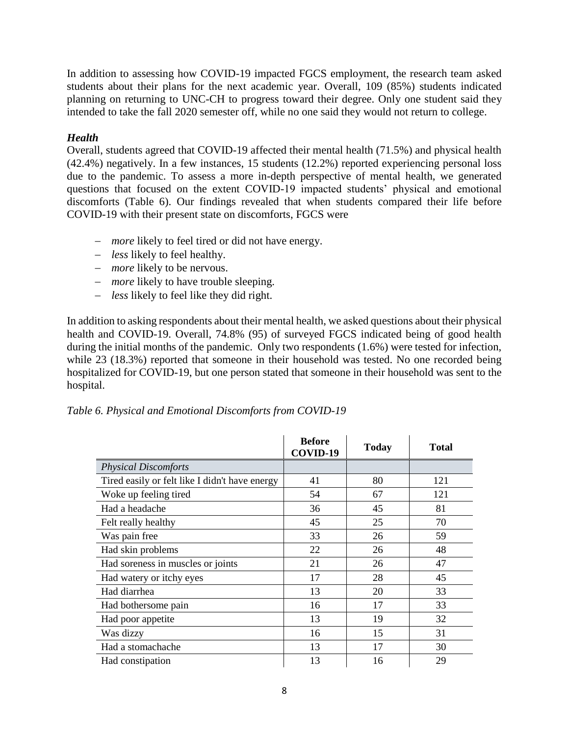In addition to assessing how COVID-19 impacted FGCS employment, the research team asked students about their plans for the next academic year. Overall, 109 (85%) students indicated planning on returning to UNC-CH to progress toward their degree. Only one student said they intended to take the fall 2020 semester off, while no one said they would not return to college.

# <span id="page-9-0"></span>*Health*

Overall, students agreed that COVID-19 affected their mental health (71.5%) and physical health (42.4%) negatively. In a few instances, 15 students (12.2%) reported experiencing personal loss due to the pandemic. To assess a more in-depth perspective of mental health, we generated questions that focused on the extent COVID-19 impacted students' physical and emotional discomforts (Table 6). Our findings revealed that when students compared their life before COVID-19 with their present state on discomforts, FGCS were

- *more* likely to feel tired or did not have energy.
- *less* likely to feel healthy.
- *more* likely to be nervous.
- *more* likely to have trouble sleeping.
- *less* likely to feel like they did right.

In addition to asking respondents about their mental health, we asked questions about their physical health and COVID-19. Overall, 74.8% (95) of surveyed FGCS indicated being of good health during the initial months of the pandemic. Only two respondents (1.6%) were tested for infection, while 23 (18.3%) reported that someone in their household was tested. No one recorded being hospitalized for COVID-19, but one person stated that someone in their household was sent to the hospital.

|  |  | Table 6. Physical and Emotional Discomforts from COVID-19 |
|--|--|-----------------------------------------------------------|
|  |  |                                                           |
|  |  |                                                           |

|                                                | <b>Before</b><br>COVID-19 | <b>Today</b> | Total |
|------------------------------------------------|---------------------------|--------------|-------|
| <b>Physical Discomforts</b>                    |                           |              |       |
| Tired easily or felt like I didn't have energy | 41                        | 80           | 121   |
| Woke up feeling tired                          | 54                        | 67           | 121   |
| Had a headache                                 | 36                        | 45           | 81    |
| Felt really healthy                            | 45                        | 25           | 70    |
| Was pain free                                  | 33                        | 26           | 59    |
| Had skin problems                              | 22                        | 26           | 48    |
| Had soreness in muscles or joints              | 21                        | 26           | 47    |
| Had watery or itchy eyes                       | 17                        | 28           | 45    |
| Had diarrhea                                   | 13                        | 20           | 33    |
| Had bothersome pain                            | 16                        | 17           | 33    |
| Had poor appetite                              | 13                        | 19           | 32    |
| Was dizzy                                      | 16                        | 15           | 31    |
| Had a stomachache                              | 13                        | 17           | 30    |
| Had constipation                               | 13                        | 16           | 29    |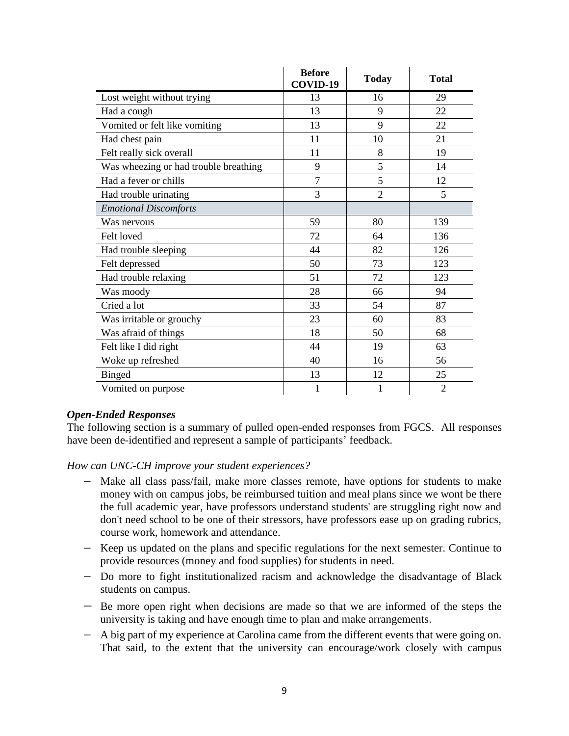|                                       | <b>Before</b><br>COVID-19 | <b>Today</b>   | <b>Total</b>   |
|---------------------------------------|---------------------------|----------------|----------------|
| Lost weight without trying            | 13                        | 16             | 29             |
| Had a cough                           | 13                        | 9              | 22             |
| Vomited or felt like vomiting         | 13                        | 9              | 22             |
| Had chest pain                        | 11                        | 10             | 21             |
| Felt really sick overall              | 11                        | 8              | 19             |
| Was wheezing or had trouble breathing | 9                         | 5              | 14             |
| Had a fever or chills                 | $\overline{7}$            | 5              | 12             |
| Had trouble urinating                 | 3                         | $\overline{2}$ | 5              |
| <b>Emotional Discomforts</b>          |                           |                |                |
| Was nervous                           | 59                        | 80             | 139            |
| Felt loved                            | 72                        | 64             | 136            |
| Had trouble sleeping                  | 44                        | 82             | 126            |
| Felt depressed                        | 50                        | 73             | 123            |
| Had trouble relaxing                  | 51                        | 72             | 123            |
| Was moody                             | 28                        | 66             | 94             |
| Cried a lot                           | 33                        | 54             | 87             |
| Was irritable or grouchy              | 23                        | 60             | 83             |
| Was afraid of things                  | 18                        | 50             | 68             |
| Felt like I did right                 | 44                        | 19             | 63             |
| Woke up refreshed                     | 40                        | 16             | 56             |
| <b>Binged</b>                         | 13                        | 12             | 25             |
| Vomited on purpose                    |                           | 1              | $\overline{2}$ |

# <span id="page-10-0"></span>*Open-Ended Responses*

The following section is a summary of pulled open-ended responses from FGCS. All responses have been de-identified and represent a sample of participants' feedback.

*How can UNC-CH improve your student experiences?*

- Make all class pass/fail, make more classes remote, have options for students to make money with on campus jobs, be reimbursed tuition and meal plans since we wont be there the full academic year, have professors understand students' are struggling right now and don't need school to be one of their stressors, have professors ease up on grading rubrics, course work, homework and attendance.
- Keep us updated on the plans and specific regulations for the next semester. Continue to provide resources (money and food supplies) for students in need.
- Do more to fight institutionalized racism and acknowledge the disadvantage of Black students on campus.
- Be more open right when decisions are made so that we are informed of the steps the university is taking and have enough time to plan and make arrangements.
- A big part of my experience at Carolina came from the different events that were going on. That said, to the extent that the university can encourage/work closely with campus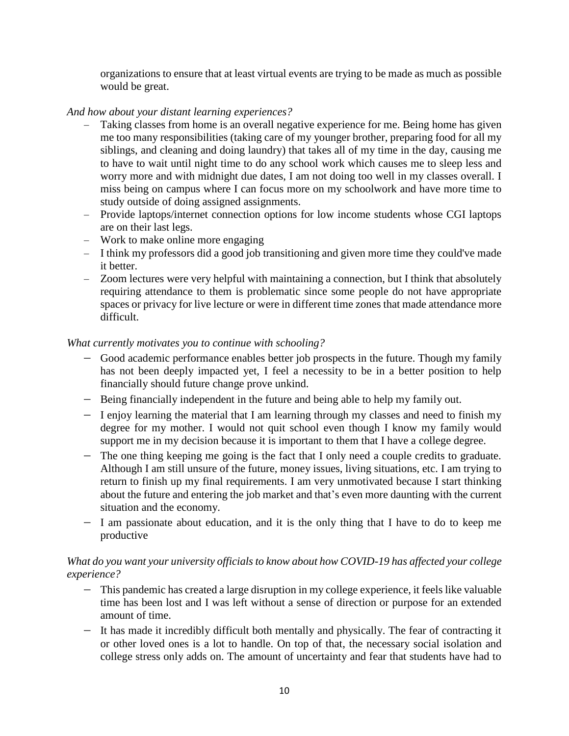organizations to ensure that at least virtual events are trying to be made as much as possible would be great.

# *And how about your distant learning experiences?*

- Taking classes from home is an overall negative experience for me. Being home has given me too many responsibilities (taking care of my younger brother, preparing food for all my siblings, and cleaning and doing laundry) that takes all of my time in the day, causing me to have to wait until night time to do any school work which causes me to sleep less and worry more and with midnight due dates, I am not doing too well in my classes overall. I miss being on campus where I can focus more on my schoolwork and have more time to study outside of doing assigned assignments.
- Provide laptops/internet connection options for low income students whose CGI laptops are on their last legs.
- Work to make online more engaging
- I think my professors did a good job transitioning and given more time they could've made it better.
- Zoom lectures were very helpful with maintaining a connection, but I think that absolutely requiring attendance to them is problematic since some people do not have appropriate spaces or privacy for live lecture or were in different time zones that made attendance more difficult.

# *What currently motivates you to continue with schooling?*

- Good academic performance enables better job prospects in the future. Though my family has not been deeply impacted yet, I feel a necessity to be in a better position to help financially should future change prove unkind.
- Being financially independent in the future and being able to help my family out.
- I enjoy learning the material that I am learning through my classes and need to finish my degree for my mother. I would not quit school even though I know my family would support me in my decision because it is important to them that I have a college degree.
- The one thing keeping me going is the fact that I only need a couple credits to graduate. Although I am still unsure of the future, money issues, living situations, etc. I am trying to return to finish up my final requirements. I am very unmotivated because I start thinking about the future and entering the job market and that's even more daunting with the current situation and the economy.
- I am passionate about education, and it is the only thing that I have to do to keep me productive

# *What do you want your university officials to know about how COVID-19 has affected your college experience?*

- This pandemic has created a large disruption in my college experience, it feels like valuable time has been lost and I was left without a sense of direction or purpose for an extended amount of time.
- It has made it incredibly difficult both mentally and physically. The fear of contracting it or other loved ones is a lot to handle. On top of that, the necessary social isolation and college stress only adds on. The amount of uncertainty and fear that students have had to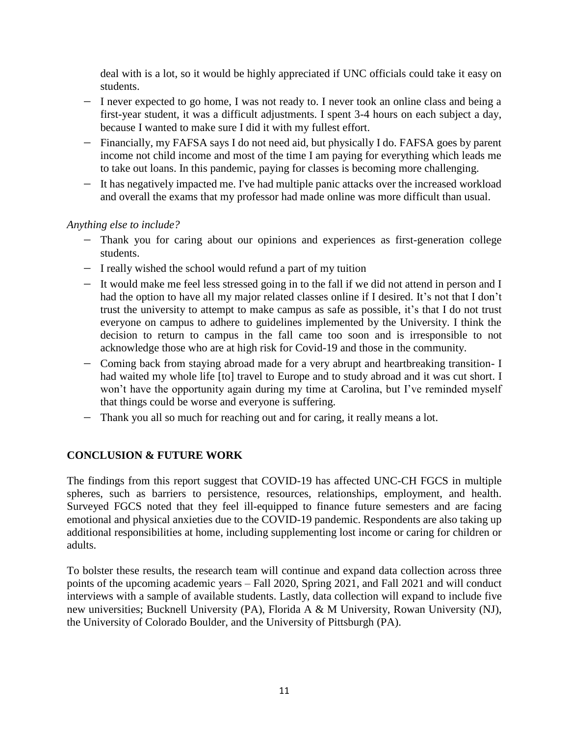deal with is a lot, so it would be highly appreciated if UNC officials could take it easy on students.

- I never expected to go home, I was not ready to. I never took an online class and being a first-year student, it was a difficult adjustments. I spent 3-4 hours on each subject a day, because I wanted to make sure I did it with my fullest effort.
- Financially, my FAFSA says I do not need aid, but physically I do. FAFSA goes by parent income not child income and most of the time I am paying for everything which leads me to take out loans. In this pandemic, paying for classes is becoming more challenging.
- It has negatively impacted me. I've had multiple panic attacks over the increased workload and overall the exams that my professor had made online was more difficult than usual.

# *Anything else to include?*

- Thank you for caring about our opinions and experiences as first-generation college students.
- I really wished the school would refund a part of my tuition
- It would make me feel less stressed going in to the fall if we did not attend in person and I had the option to have all my major related classes online if I desired. It's not that I don't trust the university to attempt to make campus as safe as possible, it's that I do not trust everyone on campus to adhere to guidelines implemented by the University. I think the decision to return to campus in the fall came too soon and is irresponsible to not acknowledge those who are at high risk for Covid-19 and those in the community.
- Coming back from staying abroad made for a very abrupt and heartbreaking transition- I had waited my whole life [to] travel to Europe and to study abroad and it was cut short. I won't have the opportunity again during my time at Carolina, but I've reminded myself that things could be worse and everyone is suffering.
- Thank you all so much for reaching out and for caring, it really means a lot.

# <span id="page-12-0"></span>**CONCLUSION & FUTURE WORK**

The findings from this report suggest that COVID-19 has affected UNC-CH FGCS in multiple spheres, such as barriers to persistence, resources, relationships, employment, and health. Surveyed FGCS noted that they feel ill-equipped to finance future semesters and are facing emotional and physical anxieties due to the COVID-19 pandemic. Respondents are also taking up additional responsibilities at home, including supplementing lost income or caring for children or adults.

To bolster these results, the research team will continue and expand data collection across three points of the upcoming academic years – Fall 2020, Spring 2021, and Fall 2021 and will conduct interviews with a sample of available students. Lastly, data collection will expand to include five new universities; Bucknell University (PA), Florida A & M University, Rowan University (NJ), the University of Colorado Boulder, and the University of Pittsburgh (PA).